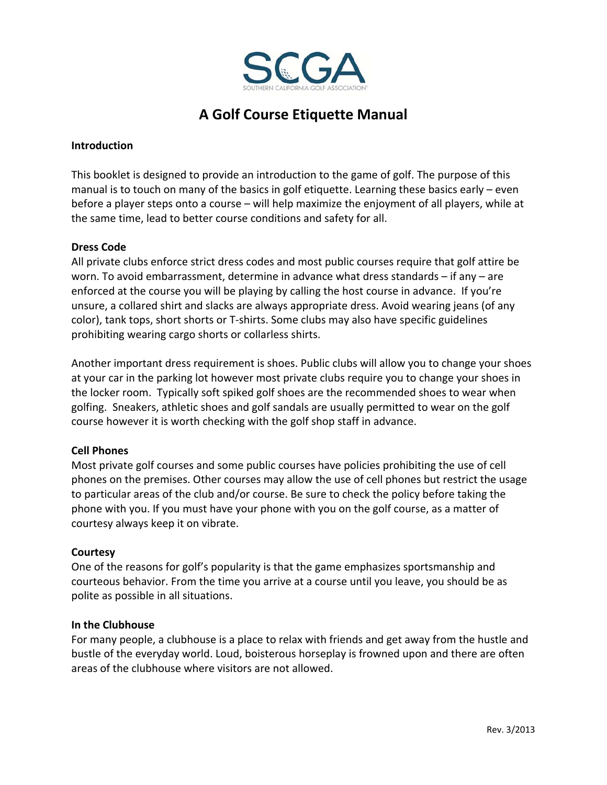

# **A Golf Course Etiquette Manual**

### **Introduction**

This booklet is designed to provide an introduction to the game of golf. The purpose of this manual is to touch on many of the basics in golf etiquette. Learning these basics early – even before a player steps onto a course – will help maximize the enjoyment of all players, while at the same time, lead to better course conditions and safety for all.

### **Dress Code**

All private clubs enforce strict dress codes and most public courses require that golf attire be worn. To avoid embarrassment, determine in advance what dress standards – if any – are enforced at the course you will be playing by calling the host course in advance. If you're unsure, a collared shirt and slacks are always appropriate dress. Avoid wearing jeans (of any color), tank tops, short shorts or T‐shirts. Some clubs may also have specific guidelines prohibiting wearing cargo shorts or collarless shirts.

Another important dress requirement is shoes. Public clubs will allow you to change your shoes at your car in the parking lot however most private clubs require you to change your shoes in the locker room. Typically soft spiked golf shoes are the recommended shoes to wear when golfing. Sneakers, athletic shoes and golf sandals are usually permitted to wear on the golf course however it is worth checking with the golf shop staff in advance.

### **Cell Phones**

Most private golf courses and some public courses have policies prohibiting the use of cell phones on the premises. Other courses may allow the use of cell phones but restrict the usage to particular areas of the club and/or course. Be sure to check the policy before taking the phone with you. If you must have your phone with you on the golf course, as a matter of courtesy always keep it on vibrate.

#### **Courtesy**

One of the reasons for golf's popularity is that the game emphasizes sportsmanship and courteous behavior. From the time you arrive at a course until you leave, you should be as polite as possible in all situations.

#### **In the Clubhouse**

For many people, a clubhouse is a place to relax with friends and get away from the hustle and bustle of the everyday world. Loud, boisterous horseplay is frowned upon and there are often areas of the clubhouse where visitors are not allowed.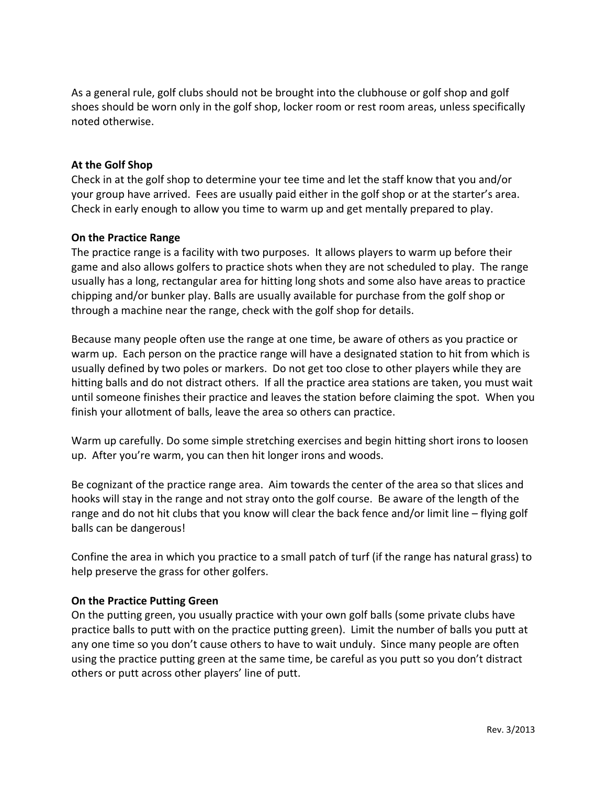As a general rule, golf clubs should not be brought into the clubhouse or golf shop and golf shoes should be worn only in the golf shop, locker room or rest room areas, unless specifically noted otherwise.

### **At the Golf Shop**

Check in at the golf shop to determine your tee time and let the staff know that you and/or your group have arrived. Fees are usually paid either in the golf shop or at the starter's area. Check in early enough to allow you time to warm up and get mentally prepared to play.

### **On the Practice Range**

The practice range is a facility with two purposes. It allows players to warm up before their game and also allows golfers to practice shots when they are not scheduled to play. The range usually has a long, rectangular area for hitting long shots and some also have areas to practice chipping and/or bunker play. Balls are usually available for purchase from the golf shop or through a machine near the range, check with the golf shop for details.

Because many people often use the range at one time, be aware of others as you practice or warm up. Each person on the practice range will have a designated station to hit from which is usually defined by two poles or markers. Do not get too close to other players while they are hitting balls and do not distract others. If all the practice area stations are taken, you must wait until someone finishes their practice and leaves the station before claiming the spot. When you finish your allotment of balls, leave the area so others can practice.

Warm up carefully. Do some simple stretching exercises and begin hitting short irons to loosen up. After you're warm, you can then hit longer irons and woods.

Be cognizant of the practice range area. Aim towards the center of the area so that slices and hooks will stay in the range and not stray onto the golf course. Be aware of the length of the range and do not hit clubs that you know will clear the back fence and/or limit line – flying golf balls can be dangerous!

Confine the area in which you practice to a small patch of turf (if the range has natural grass) to help preserve the grass for other golfers.

#### **On the Practice Putting Green**

On the putting green, you usually practice with your own golf balls (some private clubs have practice balls to putt with on the practice putting green). Limit the number of balls you putt at any one time so you don't cause others to have to wait unduly. Since many people are often using the practice putting green at the same time, be careful as you putt so you don't distract others or putt across other players' line of putt.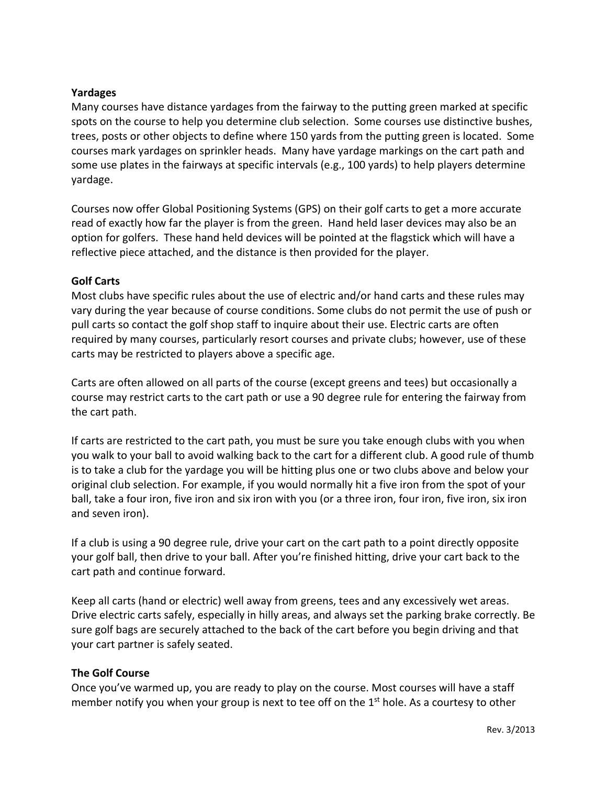## **Yardages**

Many courses have distance yardages from the fairway to the putting green marked at specific spots on the course to help you determine club selection. Some courses use distinctive bushes, trees, posts or other objects to define where 150 yards from the putting green is located. Some courses mark yardages on sprinkler heads. Many have yardage markings on the cart path and some use plates in the fairways at specific intervals (e.g., 100 yards) to help players determine yardage.

Courses now offer Global Positioning Systems (GPS) on their golf carts to get a more accurate read of exactly how far the player is from the green. Hand held laser devices may also be an option for golfers. These hand held devices will be pointed at the flagstick which will have a reflective piece attached, and the distance is then provided for the player.

# **Golf Carts**

Most clubs have specific rules about the use of electric and/or hand carts and these rules may vary during the year because of course conditions. Some clubs do not permit the use of push or pull carts so contact the golf shop staff to inquire about their use. Electric carts are often required by many courses, particularly resort courses and private clubs; however, use of these carts may be restricted to players above a specific age.

Carts are often allowed on all parts of the course (except greens and tees) but occasionally a course may restrict carts to the cart path or use a 90 degree rule for entering the fairway from the cart path.

If carts are restricted to the cart path, you must be sure you take enough clubs with you when you walk to your ball to avoid walking back to the cart for a different club. A good rule of thumb is to take a club for the yardage you will be hitting plus one or two clubs above and below your original club selection. For example, if you would normally hit a five iron from the spot of your ball, take a four iron, five iron and six iron with you (or a three iron, four iron, five iron, six iron and seven iron).

If a club is using a 90 degree rule, drive your cart on the cart path to a point directly opposite your golf ball, then drive to your ball. After you're finished hitting, drive your cart back to the cart path and continue forward.

Keep all carts (hand or electric) well away from greens, tees and any excessively wet areas. Drive electric carts safely, especially in hilly areas, and always set the parking brake correctly. Be sure golf bags are securely attached to the back of the cart before you begin driving and that your cart partner is safely seated.

# **The Golf Course**

Once you've warmed up, you are ready to play on the course. Most courses will have a staff member notify you when your group is next to tee off on the  $1<sup>st</sup>$  hole. As a courtesy to other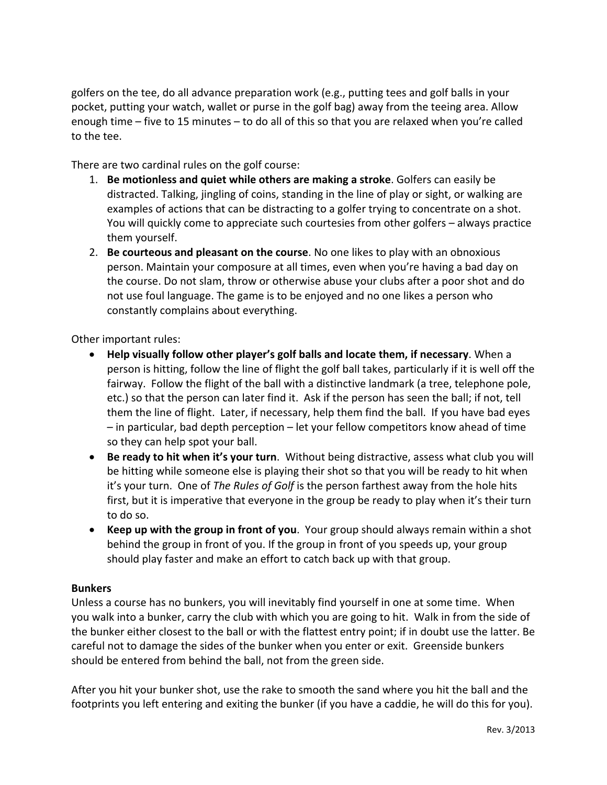golfers on the tee, do all advance preparation work (e.g., putting tees and golf balls in your pocket, putting your watch, wallet or purse in the golf bag) away from the teeing area. Allow enough time – five to 15 minutes – to do all of this so that you are relaxed when you're called to the tee.

There are two cardinal rules on the golf course:

- 1. **Be motionless and quiet while others are making a stroke**. Golfers can easily be distracted. Talking, jingling of coins, standing in the line of play or sight, or walking are examples of actions that can be distracting to a golfer trying to concentrate on a shot. You will quickly come to appreciate such courtesies from other golfers – always practice them yourself.
- 2. **Be courteous and pleasant on the course**. No one likes to play with an obnoxious person. Maintain your composure at all times, even when you're having a bad day on the course. Do not slam, throw or otherwise abuse your clubs after a poor shot and do not use foul language. The game is to be enjoyed and no one likes a person who constantly complains about everything.

Other important rules:

- **Help visually follow other player's golf balls and locate them, if necessary**. When a person is hitting, follow the line of flight the golf ball takes, particularly if it is well off the fairway. Follow the flight of the ball with a distinctive landmark (a tree, telephone pole, etc.) so that the person can later find it. Ask if the person has seen the ball; if not, tell them the line of flight. Later, if necessary, help them find the ball. If you have bad eyes – in particular, bad depth perception – let your fellow competitors know ahead of time so they can help spot your ball.
- **Be ready to hit when it's your turn**. Without being distractive, assess what club you will be hitting while someone else is playing their shot so that you will be ready to hit when it's your turn. One of *The Rules of Golf* is the person farthest away from the hole hits first, but it is imperative that everyone in the group be ready to play when it's their turn to do so.
- **Keep up with the group in front of you**. Your group should always remain within a shot behind the group in front of you. If the group in front of you speeds up, your group should play faster and make an effort to catch back up with that group.

# **Bunkers**

Unless a course has no bunkers, you will inevitably find yourself in one at some time. When you walk into a bunker, carry the club with which you are going to hit. Walk in from the side of the bunker either closest to the ball or with the flattest entry point; if in doubt use the latter. Be careful not to damage the sides of the bunker when you enter or exit. Greenside bunkers should be entered from behind the ball, not from the green side.

After you hit your bunker shot, use the rake to smooth the sand where you hit the ball and the footprints you left entering and exiting the bunker (if you have a caddie, he will do this for you).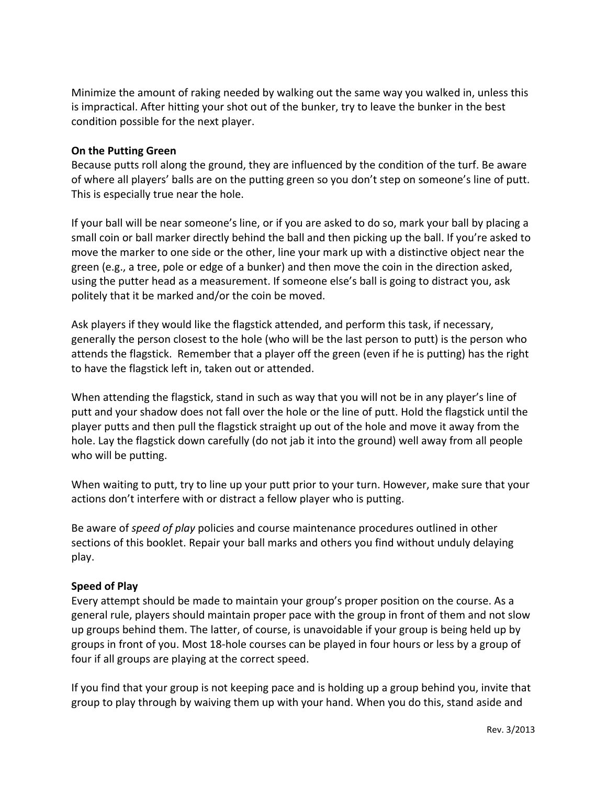Minimize the amount of raking needed by walking out the same way you walked in, unless this is impractical. After hitting your shot out of the bunker, try to leave the bunker in the best condition possible for the next player.

### **On the Putting Green**

Because putts roll along the ground, they are influenced by the condition of the turf. Be aware of where all players' balls are on the putting green so you don't step on someone's line of putt. This is especially true near the hole.

If your ball will be near someone's line, or if you are asked to do so, mark your ball by placing a small coin or ball marker directly behind the ball and then picking up the ball. If you're asked to move the marker to one side or the other, line your mark up with a distinctive object near the green (e.g., a tree, pole or edge of a bunker) and then move the coin in the direction asked, using the putter head as a measurement. If someone else's ball is going to distract you, ask politely that it be marked and/or the coin be moved.

Ask players if they would like the flagstick attended, and perform this task, if necessary, generally the person closest to the hole (who will be the last person to putt) is the person who attends the flagstick. Remember that a player off the green (even if he is putting) has the right to have the flagstick left in, taken out or attended.

When attending the flagstick, stand in such as way that you will not be in any player's line of putt and your shadow does not fall over the hole or the line of putt. Hold the flagstick until the player putts and then pull the flagstick straight up out of the hole and move it away from the hole. Lay the flagstick down carefully (do not jab it into the ground) well away from all people who will be putting.

When waiting to putt, try to line up your putt prior to your turn. However, make sure that your actions don't interfere with or distract a fellow player who is putting.

Be aware of *speed of play* policies and course maintenance procedures outlined in other sections of this booklet. Repair your ball marks and others you find without unduly delaying play.

### **Speed of Play**

Every attempt should be made to maintain your group's proper position on the course. As a general rule, players should maintain proper pace with the group in front of them and not slow up groups behind them. The latter, of course, is unavoidable if your group is being held up by groups in front of you. Most 18‐hole courses can be played in four hours or less by a group of four if all groups are playing at the correct speed.

If you find that your group is not keeping pace and is holding up a group behind you, invite that group to play through by waiving them up with your hand. When you do this, stand aside and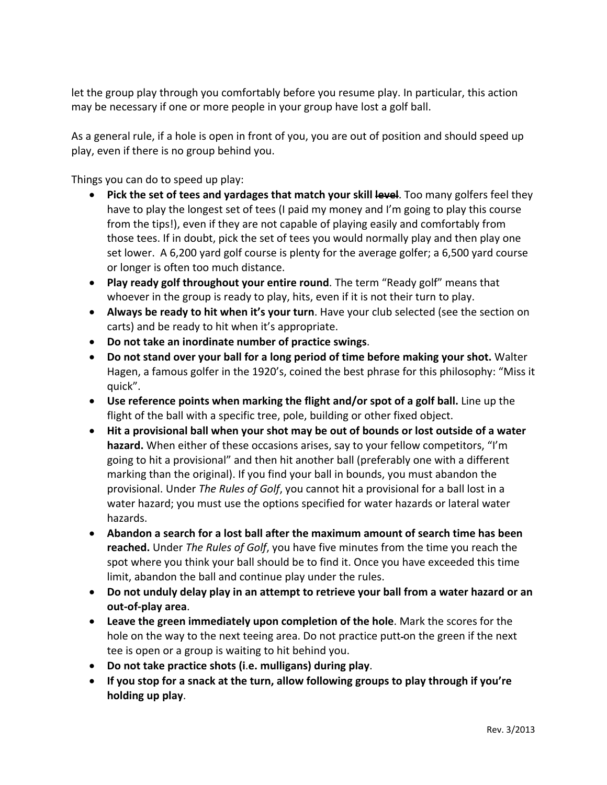let the group play through you comfortably before you resume play. In particular, this action may be necessary if one or more people in your group have lost a golf ball.

As a general rule, if a hole is open in front of you, you are out of position and should speed up play, even if there is no group behind you.

Things you can do to speed up play:

- **Pick the set of tees and yardages that match your skill level**. Too many golfers feel they have to play the longest set of tees (I paid my money and I'm going to play this course from the tips!), even if they are not capable of playing easily and comfortably from those tees. If in doubt, pick the set of tees you would normally play and then play one set lower. A 6,200 yard golf course is plenty for the average golfer; a 6,500 yard course or longer is often too much distance.
- **Play ready golf throughout your entire round**. The term "Ready golf" means that whoever in the group is ready to play, hits, even if it is not their turn to play.
- **Always be ready to hit when it's your turn**. Have your club selected (see the section on carts) and be ready to hit when it's appropriate.
- **Do not take an inordinate number of practice swings**.
- **Do not stand over your ball for a long period of time before making your shot.** Walter Hagen, a famous golfer in the 1920's, coined the best phrase for this philosophy: "Miss it quick".
- **Use reference points when marking the flight and/or spot of a golf ball.** Line up the flight of the ball with a specific tree, pole, building or other fixed object.
- **Hit a provisional ball when your shot may be out of bounds or lost outside of a water hazard.** When either of these occasions arises, say to your fellow competitors, "I'm going to hit a provisional" and then hit another ball (preferably one with a different marking than the original). If you find your ball in bounds, you must abandon the provisional. Under *The Rules of Golf*, you cannot hit a provisional for a ball lost in a water hazard; you must use the options specified for water hazards or lateral water hazards.
- **Abandon a search for a lost ball after the maximum amount of search time has been reached.** Under *The Rules of Golf*, you have five minutes from the time you reach the spot where you think your ball should be to find it. Once you have exceeded this time limit, abandon the ball and continue play under the rules.
- **Do not unduly delay play in an attempt to retrieve your ball from a water hazard or an out‐of‐play area**.
- **Leave the green immediately upon completion of the hole**. Mark the scores for the hole on the way to the next teeing area. Do not practice putt-on the green if the next tee is open or a group is waiting to hit behind you.
- **Do not take practice shots (i**.**e. mulligans) during play**.
- **If you stop for a snack at the turn, allow following groups to play through if you're holding up play**.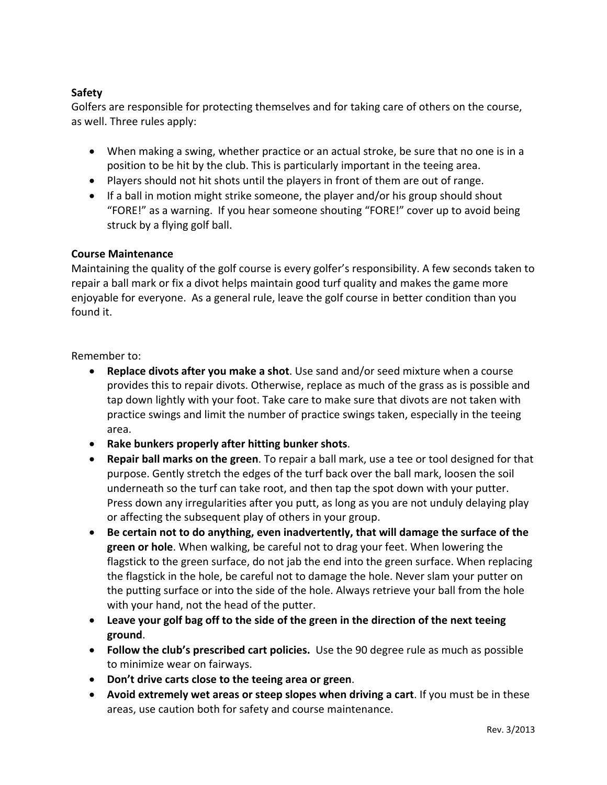# **Safety**

Golfers are responsible for protecting themselves and for taking care of others on the course, as well. Three rules apply:

- When making a swing, whether practice or an actual stroke, be sure that no one is in a position to be hit by the club. This is particularly important in the teeing area.
- Players should not hit shots until the players in front of them are out of range.
- If a ball in motion might strike someone, the player and/or his group should shout "FORE!" as a warning. If you hear someone shouting "FORE!" cover up to avoid being struck by a flying golf ball.

# **Course Maintenance**

Maintaining the quality of the golf course is every golfer's responsibility. A few seconds taken to repair a ball mark or fix a divot helps maintain good turf quality and makes the game more enjoyable for everyone. As a general rule, leave the golf course in better condition than you found it.

Remember to:

- **Replace divots after you make a shot**. Use sand and/or seed mixture when a course provides this to repair divots. Otherwise, replace as much of the grass as is possible and tap down lightly with your foot. Take care to make sure that divots are not taken with practice swings and limit the number of practice swings taken, especially in the teeing area.
- **Rake bunkers properly after hitting bunker shots**.
- **Repair ball marks on the green**. To repair a ball mark, use a tee or tool designed for that purpose. Gently stretch the edges of the turf back over the ball mark, loosen the soil underneath so the turf can take root, and then tap the spot down with your putter. Press down any irregularities after you putt, as long as you are not unduly delaying play or affecting the subsequent play of others in your group.
- **Be certain not to do anything, even inadvertently, that will damage the surface of the green or hole**. When walking, be careful not to drag your feet. When lowering the flagstick to the green surface, do not jab the end into the green surface. When replacing the flagstick in the hole, be careful not to damage the hole. Never slam your putter on the putting surface or into the side of the hole. Always retrieve your ball from the hole with your hand, not the head of the putter.
- **Leave your golf bag off to the side of the green in the direction of the next teeing ground**.
- **Follow the club's prescribed cart policies.** Use the 90 degree rule as much as possible to minimize wear on fairways.
- **Don't drive carts close to the teeing area or green**.
- **Avoid extremely wet areas or steep slopes when driving a cart**. If you must be in these areas, use caution both for safety and course maintenance.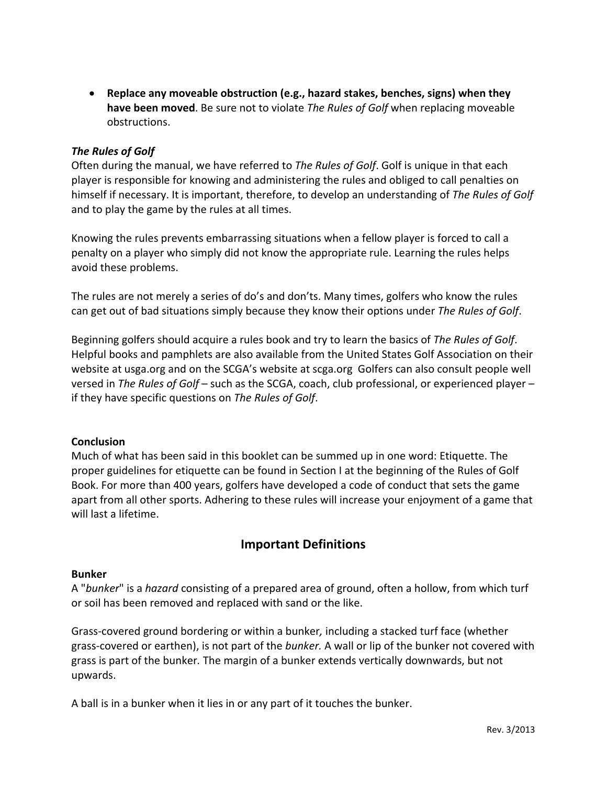**Replace any moveable obstruction (e.g., hazard stakes, benches, signs) when they have been moved**. Be sure not to violate *The Rules of Golf* when replacing moveable obstructions.

### *The Rules of Golf*

Often during the manual, we have referred to *The Rules of Golf*. Golf is unique in that each player is responsible for knowing and administering the rules and obliged to call penalties on himself if necessary. It is important, therefore, to develop an understanding of *The Rules of Golf* and to play the game by the rules at all times.

Knowing the rules prevents embarrassing situations when a fellow player is forced to call a penalty on a player who simply did not know the appropriate rule. Learning the rules helps avoid these problems.

The rules are not merely a series of do's and don'ts. Many times, golfers who know the rules can get out of bad situations simply because they know their options under *The Rules of Golf*.

Beginning golfers should acquire a rules book and try to learn the basics of *The Rules of Golf*. Helpful books and pamphlets are also available from the United States Golf Association on their website at usga.org and on the SCGA's website at scga.org Golfers can also consult people well versed in *The Rules of Golf* – such as the SCGA, coach, club professional, or experienced player – if they have specific questions on *The Rules of Golf*.

#### **Conclusion**

Much of what has been said in this booklet can be summed up in one word: Etiquette. The proper guidelines for etiquette can be found in Section I at the beginning of the Rules of Golf Book. For more than 400 years, golfers have developed a code of conduct that sets the game apart from all other sports. Adhering to these rules will increase your enjoyment of a game that will last a lifetime.

# **Important Definitions**

#### **Bunker**

A "*bunker*" is a *hazard* consisting of a prepared area of ground, often a hollow, from which turf or soil has been removed and replaced with sand or the like.

Grass‐covered ground bordering or within a bunker*,* including a stacked turf face (whether grass‐covered or earthen), is not part of the *bunker.* A wall or lip of the bunker not covered with grass is part of the bunker*.* The margin of a bunker extends vertically downwards, but not upwards.

A ball is in a bunker when it lies in or any part of it touches the bunker.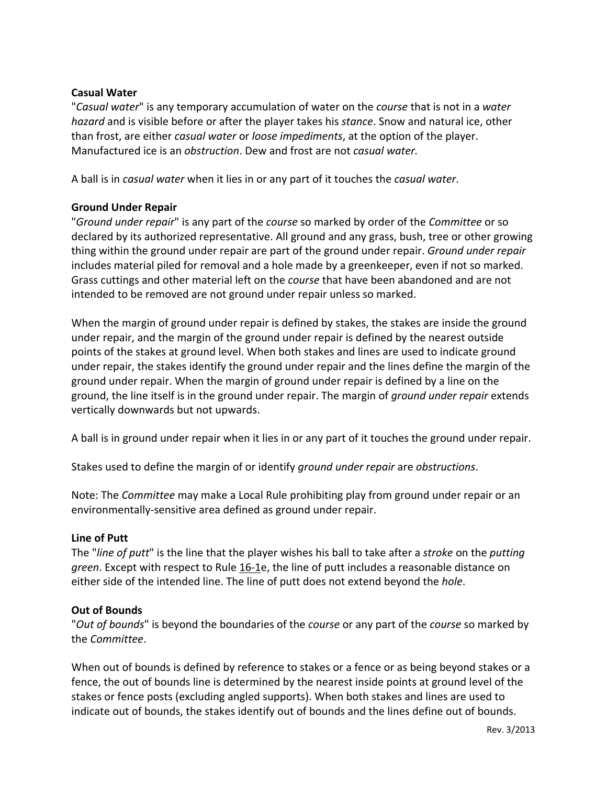## **Casual Water**

"*Casual water*" is any temporary accumulation of water on the *course* that is not in a *water hazard* and is visible before or after the player takes his *stance*. Snow and natural ice, other than frost, are either *casual water* or *loose impediments*, at the option of the player. Manufactured ice is an *obstruction*. Dew and frost are not *casual water.*

A ball is in *casual water* when it lies in or any part of it touches the *casual water*.

# **Ground Under Repair**

"*Ground under repair*" is any part of the *course* so marked by order of the *Committee* or so declared by its authorized representative. All ground and any grass, bush, tree or other growing thing within the ground under repair are part of the ground under repair. *Ground under repair* includes material piled for removal and a hole made by a greenkeeper, even if not so marked. Grass cuttings and other material left on the *course* that have been abandoned and are not intended to be removed are not ground under repair unless so marked.

When the margin of ground under repair is defined by stakes, the stakes are inside the ground under repair, and the margin of the ground under repair is defined by the nearest outside points of the stakes at ground level. When both stakes and lines are used to indicate ground under repair, the stakes identify the ground under repair and the lines define the margin of the ground under repair. When the margin of ground under repair is defined by a line on the ground, the line itself is in the ground under repair. The margin of *ground under repair* extends vertically downwards but not upwards.

A ball is in ground under repair when it lies in or any part of it touches the ground under repair.

Stakes used to define the margin of or identify *ground under repair* are *obstructions*.

Note: The *Committee* may make a Local Rule prohibiting play from ground under repair or an environmentally‐sensitive area defined as ground under repair.

### **Line of Putt**

The "*line of putt*" is the line that the player wishes his ball to take after a *stroke* on the *putting green*. Except with respect to Rule 16‐1e, the line of putt includes a reasonable distance on either side of the intended line. The line of putt does not extend beyond the *hole*.

### **Out of Bounds**

"*Out of bounds*" is beyond the boundaries of the *course* or any part of the *course* so marked by the *Committee*.

When out of bounds is defined by reference to stakes or a fence or as being beyond stakes or a fence, the out of bounds line is determined by the nearest inside points at ground level of the stakes or fence posts (excluding angled supports). When both stakes and lines are used to indicate out of bounds, the stakes identify out of bounds and the lines define out of bounds.